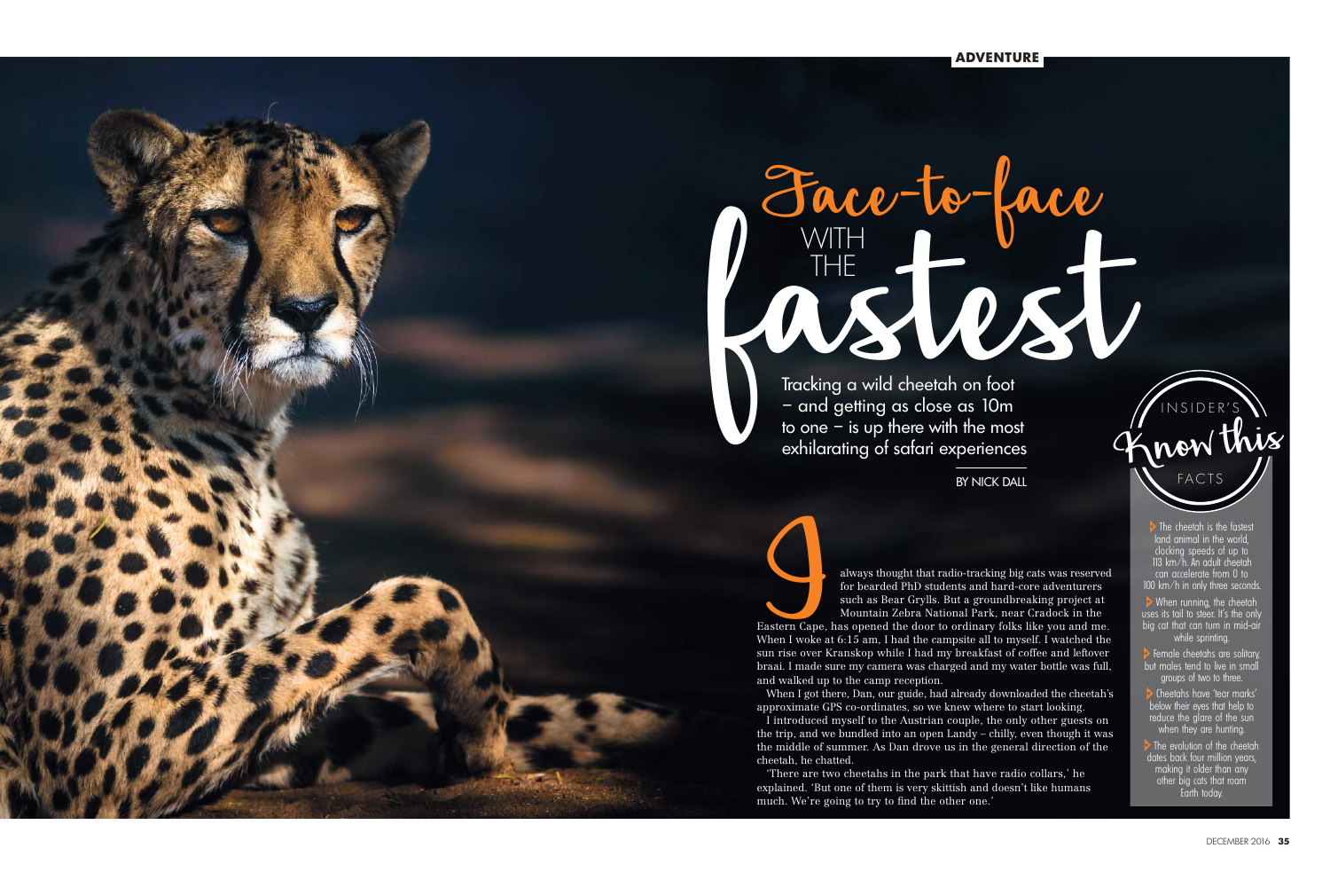

BY NICK DALL<br>
always thought that radio-tracking big cats was reserved<br>
for bearded PhD students and hard-core adventurers<br>
such as Bear Grylls. But a groundbreaking project at<br>
Mountain Zebra National Park, near Cradock i for bearded PhD students and hard-core adventurers such as Bear Grylls. But a groundbreaking project at Mountain Zebra National Park, near Cradock in the Eastern Cape, has opened the door to ordinary folks like you and me. When I woke at 6:15 am, I had the campsite all to myself. I watched the sun rise over Kranskop while I had my breakfast of coffee and leftover braai. I made sure my camera was charged and my water bottle was full,

and walked up to the camp reception.

When I got there, Dan, our guide, had already downloaded the cheetah's approximate GPS co-ordinates, so we knew where to start looking. I introduced myself to the Austrian couple, the only other guests on the trip, and we bundled into an open Landy – chilly, even though it was the middle of summer. As Dan drove us in the general direction of the cheetah, he chatted.

 $\rightarrow$  When running, the cheetah uses its tail to steer. It's the only big cat that can turn in mid-air while sprinting.

 Cheetahs have 'tear marks' below their eyes that help to reduce the glare of the sun when they are hunting.

The evolution of the cheetah dates back four million years, making it older than any other big cats that roam Earth today.

'There are two cheetahs in the park that have radio collars,' he explained. 'But one of them is very skittish and doesn't like humans much. We're going to try to find the other one.'

THE

**BY NICK DALL** 

Face-to-face fastest WITH Tracking a wild cheetah on foot – and getting as close as 10m to one  $-$  is up there with the most exhilarating of safari experiences

> The cheetah is the fastest land animal in the world, clocking speeds of up to 113 km/h. An adult cheetah can accelerate from 0 to 100 km/h in only three seconds.

> Female cheetahs are solitary, but males tend to live in small groups of two to three.